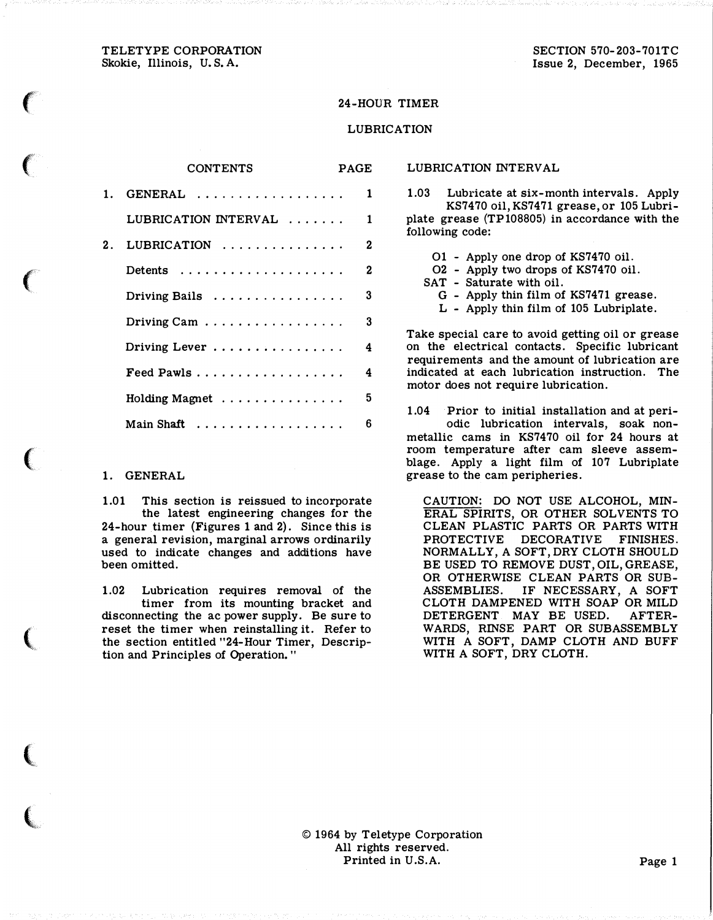TELETYPE CORPORATION Skokie, Illinois, U.S. A.

 $\epsilon$ 

 $\big($ 

 $\big($ 

 $\big($ 

 $\big($ 

(

t  $\mathcal{L}$ 

### 24-HOUR TIMER

#### LUBRICATION

#### CONTENTS PAGE

| 1. GENERAL $\ldots$  | 1 |
|----------------------|---|
| LUBRICATION INTERVAL | 1 |
| 2. LUBRICATION       | 2 |
|                      | 2 |
| Driving Bails        | 3 |
| Driving Cam          | 3 |
| Driving Lever        | 4 |
| Feed Pawls           | 4 |
| Holding Magnet       | 5 |
| Main Shaft           | 6 |

#### 1. GENERAL

1.01 This section is reissued to incorporate the latest engineering changes for the 24-hour timer (Figures 1 and 2). Since this is a general revision, marginal arrows ordinarily used to indicate changes and additions have been omitted.

1.02 Lubrication requires removal of the timer from its mounting bracket and disconnecting the ac power supply. Be sure to reset the timer when reinstalling it. Refer to the section entitled "24-Hour Timer, Description and Principles of Operation. "

1.03 Lubricate at six-month intervals. Apply KS7470 oil, KS7471 grease, or 105 Lubriplate grease  $(TP108805)$  in accordance with the following code:

- 01 Apply one drop of KS7470 oil.
- 02 Apply two drops of KS7470 oil.
- SAT Saturate with oil.

LUBRICATION INTERVAL

- G Apply thin film of KS7471 grease.
- L Apply thin film of 105 Lubriplate.

Take special care to avoid getting oil or grease on the electrical contacts. Specific lubricant requirements and the amount of lubrication are indicated at each lubrication instruction. The motor does not require lubrication.

1.04 Prior to initial installation and at periodic lubrication intervals, soak nonmetallic cams in KS7470 oil for 24 hours at room temperature after cam sleeve assemblage. Apply a light film of 107 Lubriplate grease to the cam peripheries.

CAUTION: DO NOT USE ALCOHOL, MIN-ERAL SPIRITS, OR OTHER SOLVENTS TO CLEAN PLASTIC PARTS OR PARTS WITH PROTECTIVE DECORATIVE FINISHES. NORMALLY, A SOFT,DRY CLOTH SHOULD BE USED TO REMOVE DUST,OIL,GREASE, OR OTHERWISE CLEAN PARTS OR SUB-ASSEMBLIES. IF NECESSARY, A SOFT CLOTH DAMPENED WITH SOAP OR MILD DETERGENT MAY BE USED. AFTER-WARDS, RINSE PART OR SUBASSEMBLY WITH A SOFT, DAMP CLOTH AND BUFF WITH A SOFT, DRY CLOTH.

© 1964 by Teletype Corporation All rights reserved. Printed in U.S.A. Page 1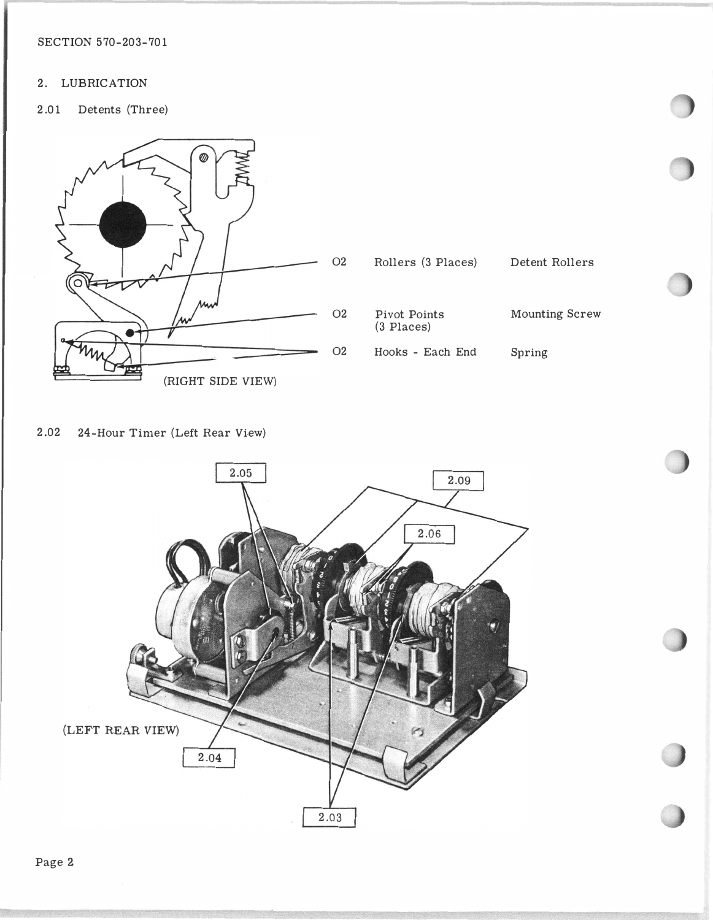SECTION 570-203-701

## 2. LUBRICATION

2.01 Detents (Three)



2.02 24-Hour Timer (Left Rear View)

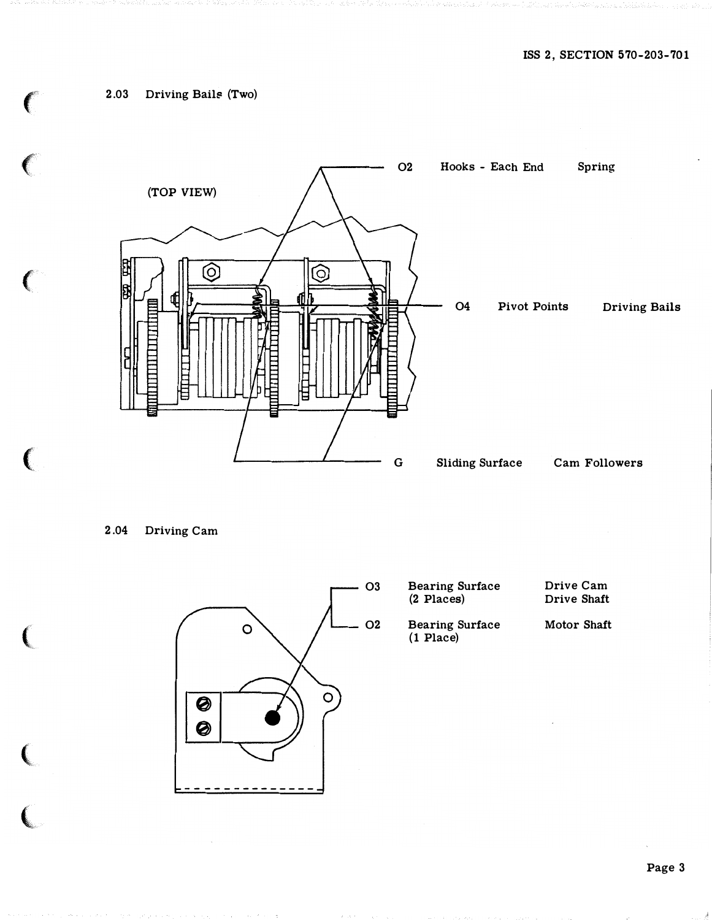## 2.03 Driving Bails (Two)



2.04 Driving Cam

the state of the control of the con-



Page 3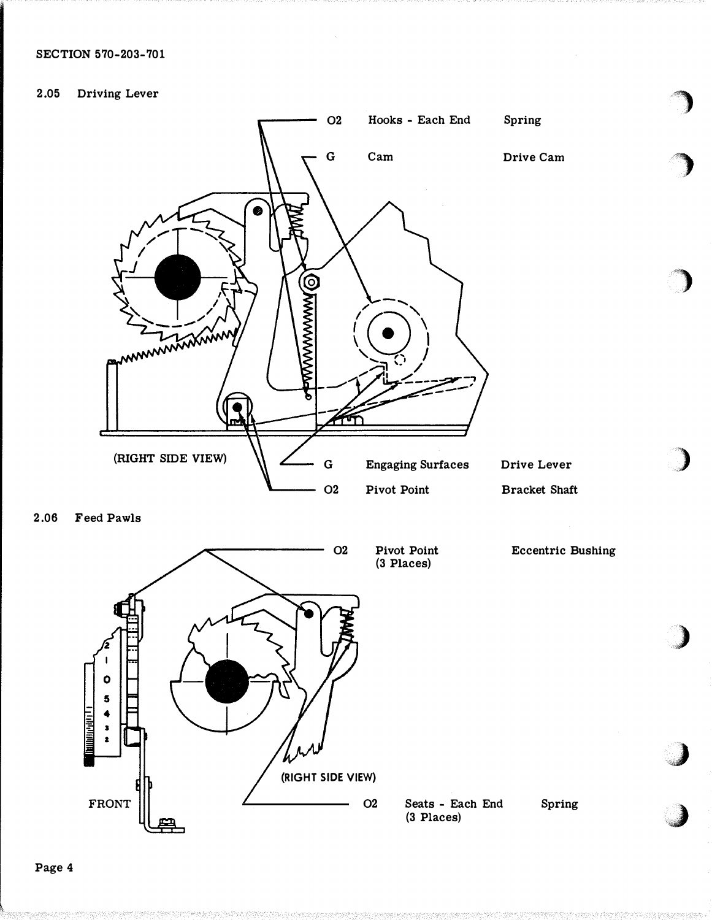## SECTION 570-203-701

### 2.05 Driving Lever



2.06 Feed Pawls



�)

)

'')

:>

)

)

J

Spring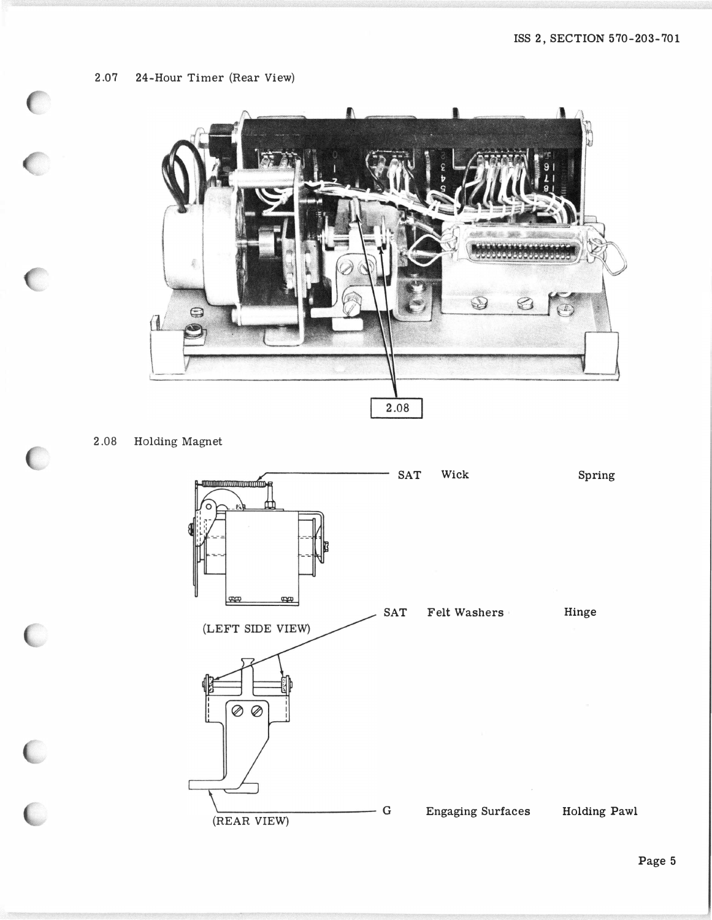2.07 24-Hour Timer (Rear View)

 $\begin{array}{c} 0 \\ 0 \end{array}$ 

 $\overline{\mathcal{C}}$ 

C

 $\epsilon$ 

 $\frac{1}{2}$